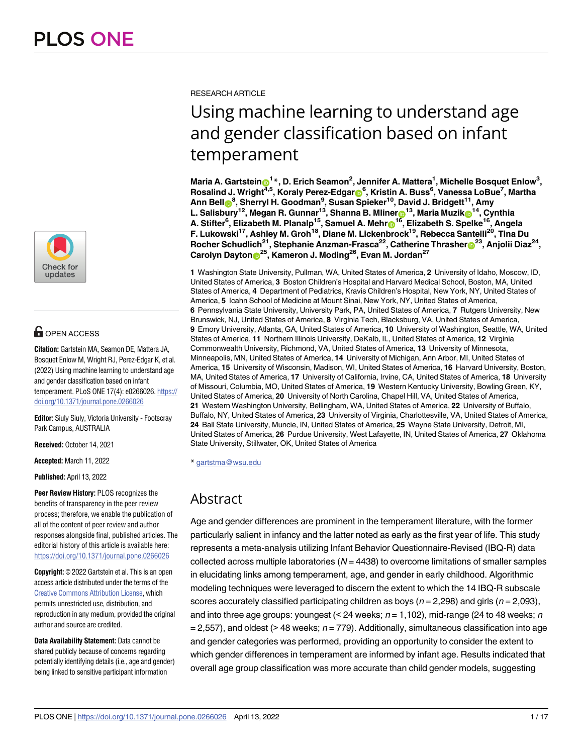

# **G** OPEN ACCESS

**Citation:** Gartstein MA, Seamon DE, Mattera JA, Bosquet Enlow M, Wright RJ, Perez-Edgar K, et al. (2022) Using machine learning to understand age and gender classification based on infant temperament. PLoS ONE 17(4): e0266026. [https://](https://doi.org/10.1371/journal.pone.0266026) [doi.org/10.1371/journal.pone.0266026](https://doi.org/10.1371/journal.pone.0266026)

**Editor:** Siuly Siuly, Victoria University - Footscray Park Campus, AUSTRALIA

**Received:** October 14, 2021

**Accepted:** March 11, 2022

**Published:** April 13, 2022

**Peer Review History:** PLOS recognizes the benefits of transparency in the peer review process; therefore, we enable the publication of all of the content of peer review and author responses alongside final, published articles. The editorial history of this article is available here: <https://doi.org/10.1371/journal.pone.0266026>

**Copyright:** © 2022 Gartstein et al. This is an open access article distributed under the terms of the Creative Commons [Attribution](http://creativecommons.org/licenses/by/4.0/) License, which permits unrestricted use, distribution, and reproduction in any medium, provided the original author and source are credited.

**Data Availability Statement:** Data cannot be shared publicly because of concerns regarding potentially identifying details (i.e., age and gender) being linked to sensitive participant information

RESEARCH ARTICLE

# Using machine learning to understand age and gender classification based on infant temperament

Maria A. Gartstein $\mathrm{e}^{1*}$ , D. Erich Seamon<sup>2</sup>, Jennifer A. Mattera<sup>1</sup>, Michelle Bosquet Enlow<sup>3</sup>,  $R$ osalind J. Wright<sup>4,5</sup>, Koraly Perez-Edgar $\bullet$ <sup>6</sup>, Kristin A. Buss<sup>6</sup>, Vanessa LoBue<sup>7</sup>, Martha **Ann Bell[ID8](https://orcid.org/0000-0001-9222-0374) , Sherryl H. Goodman9 , Susan Spieker10, David J. Bridgett11, Amy**  $L$ . Salisbury<sup>12</sup>, Megan R. Gunnar<sup>13</sup>, Shanna B. Mliner $\mathbf{D}^{13}$ , Maria Muzik $\mathbf{D}^{14}$ , Cynthia **A. Stifter6 , Elizabeth M. Planalp15, Samuel A. Meh[rID](https://orcid.org/0000-0002-9400-7718)16, Elizabeth S. Spelke16, Angela F. Lukowski17, Ashley M. Groh18, Diane M. Lickenbrock19, Rebecca Santelli20, Tina Du**  $R$ ocher Schudlich<sup>21</sup>, Stephanie Anzman-Frasca<sup>22</sup>, Catherine Thrasher $\odot^{23}$ , Anjolii Diaz<sup>24</sup>, **Carolyn Dayto[nID](https://orcid.org/0000-0003-3837-2355)25, Kameron J. Moding26, Evan M. Jordan27**

**1** Washington State University, Pullman, WA, United States of America, **2** University of Idaho, Moscow, ID, United States of America, **3** Boston Children's Hospital and Harvard Medical School, Boston, MA, United States of America, **4** Department of Pediatrics, Kravis Children's Hospital, New York, NY, United States of America, **5** Icahn School of Medicine at Mount Sinai, New York, NY, United States of America, **6** Pennsylvania State University, University Park, PA, United States of America, **7** Rutgers University, New Brunswick, NJ, United States of America, **8** Virginia Tech, Blacksburg, VA, United States of America, **9** Emory University, Atlanta, GA, United States of America, **10** University of Washington, Seattle, WA, United States of America, **11** Northern Illinois University, DeKalb, IL, United States of America, **12** Virginia Commonwealth University, Richmond, VA, United States of America, **13** University of Minnesota, Minneapolis, MN, United States of America, **14** University of Michigan, Ann Arbor, MI, United States of America, **15** University of Wisconsin, Madison, WI, United States of America, **16** Harvard University, Boston, MA, United States of America, **17** University of California, Irvine, CA, United States of America, **18** University of Missouri, Columbia, MO, United States of America, **19** Western Kentucky University, Bowling Green, KY, United States of America, **20** University of North Carolina, Chapel Hill, VA, United States of America, **21** Western Washington University, Bellingham, WA, United States of America, **22** University of Buffalo, Buffalo, NY, United States of America, **23** University of Virginia, Charlottesville, VA, United States of America, **24** Ball State University, Muncie, IN, United States of America, **25** Wayne State University, Detroit, MI, United States of America, **26** Purdue University, West Lafayette, IN, United States of America, **27** Oklahoma State University, Stillwater, OK, United States of America

\* gartstma@wsu.edu

## Abstract

Age and gender differences are prominent in the temperament literature, with the former particularly salient in infancy and the latter noted as early as the first year of life. This study represents a meta-analysis utilizing Infant Behavior Questionnaire-Revised (IBQ-R) data collected across multiple laboratories  $(N = 4438)$  to overcome limitations of smaller samples in elucidating links among temperament, age, and gender in early childhood. Algorithmic modeling techniques were leveraged to discern the extent to which the 14 IBQ-R subscale scores accurately classified participating children as boys ( $n = 2,298$ ) and girls ( $n = 2,093$ ), and into three age groups: youngest (< 24 weeks;  $n = 1,102$ ), mid-range (24 to 48 weeks; n  $= 2,557$ ), and oldest (> 48 weeks;  $n = 779$ ). Additionally, simultaneous classification into age and gender categories was performed, providing an opportunity to consider the extent to which gender differences in temperament are informed by infant age. Results indicated that overall age group classification was more accurate than child gender models, suggesting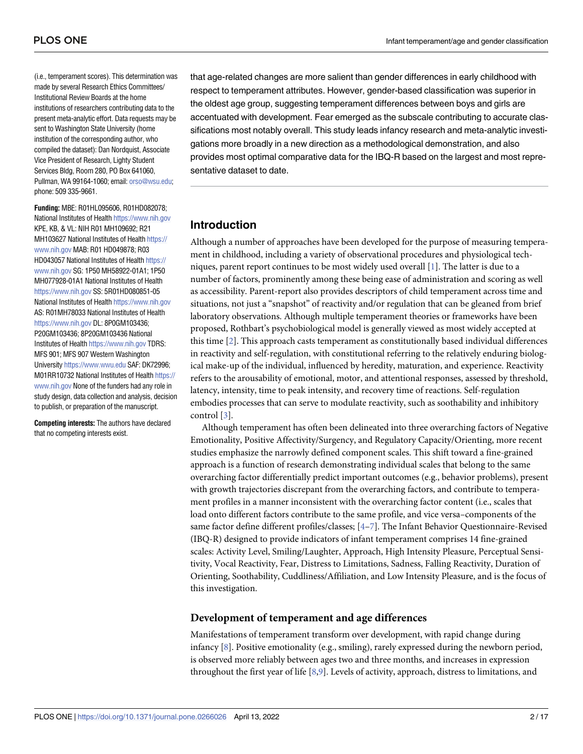<span id="page-1-0"></span>(i.e., temperament scores). This determination was made by several Research Ethics Committees/ Institutional Review Boards at the home institutions of researchers contributing data to the present meta-analytic effort. Data requests may be sent to Washington State University (home institution of the corresponding author, who compiled the dataset): Dan Nordquist, Associate Vice President of Research, Lighty Student Services Bldg, Room 280, PO Box 641060, Pullman, WA 99164-1060; email: [orso@wsu.edu](mailto:orso@wsu.edu); phone: 509 335-9661.

**Funding:** MBE: R01HL095606, R01HD082078; National Institutes of Health <https://www.nih.gov> KPE, KB, & VL: NIH R01 MH109692; R21 MH103627 National Institutes of Health [https://](https://www.nih.gov) [www.nih.gov](https://www.nih.gov) MAB: R01 HD049878; R03 HD043057 National Institutes of Health [https://](https://www.nih.gov) [www.nih.gov](https://www.nih.gov) SG: 1P50 MH58922-01A1; 1P50 MH077928-01A1 National Institutes of Health <https://www.nih.gov> SS: 5R01HD080851-05 National Institutes of Health <https://www.nih.gov> AS: R01MH78033 National Institutes of Health <https://www.nih.gov> DL: 8P0GM103436; P20GM103436; 8P20GM103436 National Institutes of Health <https://www.nih.gov> TDRS: MFS 901; MFS 907 Western Washington University <https://www.wwu.edu> SAF: DK72996; M01RR10732 National Institutes of Health [https://](https://www.nih.gov) [www.nih.gov](https://www.nih.gov) None of the funders had any role in study design, data collection and analysis, decision to publish, or preparation of the manuscript.

**Competing interests:** The authors have declared that no competing interests exist.

that age-related changes are more salient than gender differences in early childhood with respect to temperament attributes. However, gender-based classification was superior in the oldest age group, suggesting temperament differences between boys and girls are accentuated with development. Fear emerged as the subscale contributing to accurate classifications most notably overall. This study leads infancy research and meta-analytic investigations more broadly in a new direction as a methodological demonstration, and also provides most optimal comparative data for the IBQ-R based on the largest and most representative dataset to date.

### **Introduction**

Although a number of approaches have been developed for the purpose of measuring temperament in childhood, including a variety of observational procedures and physiological techniques, parent report continues to be most widely used overall [\[1](#page-13-0)]. The latter is due to a number of factors, prominently among these being ease of administration and scoring as well as accessibility. Parent-report also provides descriptors of child temperament across time and situations, not just a "snapshot" of reactivity and/or regulation that can be gleaned from brief laboratory observations. Although multiple temperament theories or frameworks have been proposed, Rothbart's psychobiological model is generally viewed as most widely accepted at this time [\[2](#page-13-0)]. This approach casts temperament as constitutionally based individual differences in reactivity and self-regulation, with constitutional referring to the relatively enduring biological make-up of the individual, influenced by heredity, maturation, and experience. Reactivity refers to the arousability of emotional, motor, and attentional responses, assessed by threshold, latency, intensity, time to peak intensity, and recovery time of reactions. Self-regulation embodies processes that can serve to modulate reactivity, such as soothability and inhibitory control [[3](#page-13-0)].

Although temperament has often been delineated into three overarching factors of Negative Emotionality, Positive Affectivity/Surgency, and Regulatory Capacity/Orienting, more recent studies emphasize the narrowly defined component scales. This shift toward a fine-grained approach is a function of research demonstrating individual scales that belong to the same overarching factor differentially predict important outcomes (e.g., behavior problems), present with growth trajectories discrepant from the overarching factors, and contribute to temperament profiles in a manner inconsistent with the overarching factor content (i.e., scales that load onto different factors contribute to the same profile, and vice versa–components of the same factor define different profiles/classes; [[4](#page-13-0)–[7](#page-13-0)]. The Infant Behavior Questionnaire-Revised (IBQ-R) designed to provide indicators of infant temperament comprises 14 fine-grained scales: Activity Level, Smiling/Laughter, Approach, High Intensity Pleasure, Perceptual Sensitivity, Vocal Reactivity, Fear, Distress to Limitations, Sadness, Falling Reactivity, Duration of Orienting, Soothability, Cuddliness/Affiliation, and Low Intensity Pleasure, and is the focus of this investigation.

#### **Development of temperament and age differences**

Manifestations of temperament transform over development, with rapid change during infancy [\[8\]](#page-13-0). Positive emotionality (e.g., smiling), rarely expressed during the newborn period, is observed more reliably between ages two and three months, and increases in expression throughout the first year of life [[8](#page-13-0),[9](#page-13-0)]. Levels of activity, approach, distress to limitations, and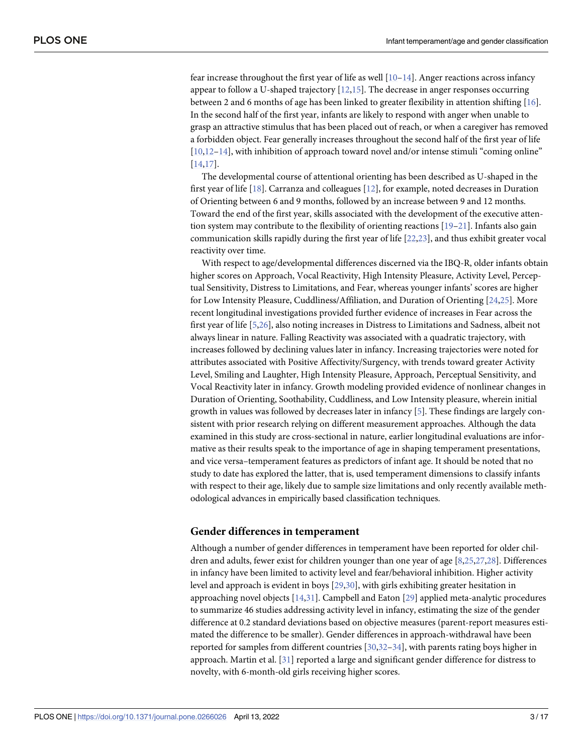<span id="page-2-0"></span>fear increase throughout the first year of life as well  $[10-14]$ . Anger reactions across infancy appear to follow a U-shaped trajectory [[12](#page-13-0),[15](#page-13-0)]. The decrease in anger responses occurring between 2 and 6 months of age has been linked to greater flexibility in attention shifting [\[16\]](#page-13-0). In the second half of the first year, infants are likely to respond with anger when unable to grasp an attractive stimulus that has been placed out of reach, or when a caregiver has removed a forbidden object. Fear generally increases throughout the second half of the first year of life [\[10,12–14](#page-13-0)], with inhibition of approach toward novel and/or intense stimuli "coming online" [\[14,17\]](#page-13-0).

The developmental course of attentional orienting has been described as U-shaped in the first year of life [\[18\]](#page-13-0). Carranza and colleagues [[12](#page-13-0)], for example, noted decreases in Duration of Orienting between 6 and 9 months, followed by an increase between 9 and 12 months. Toward the end of the first year, skills associated with the development of the executive attention system may contribute to the flexibility of orienting reactions [[19](#page-13-0)[–21\]](#page-14-0). Infants also gain communication skills rapidly during the first year of life [[22,23\]](#page-14-0), and thus exhibit greater vocal reactivity over time.

With respect to age/developmental differences discerned via the IBQ-R, older infants obtain higher scores on Approach, Vocal Reactivity, High Intensity Pleasure, Activity Level, Perceptual Sensitivity, Distress to Limitations, and Fear, whereas younger infants' scores are higher for Low Intensity Pleasure, Cuddliness/Affiliation, and Duration of Orienting [[24,25\]](#page-14-0). More recent longitudinal investigations provided further evidence of increases in Fear across the first year of life [\[5,](#page-13-0)[26\]](#page-14-0), also noting increases in Distress to Limitations and Sadness, albeit not always linear in nature. Falling Reactivity was associated with a quadratic trajectory, with increases followed by declining values later in infancy. Increasing trajectories were noted for attributes associated with Positive Affectivity/Surgency, with trends toward greater Activity Level, Smiling and Laughter, High Intensity Pleasure, Approach, Perceptual Sensitivity, and Vocal Reactivity later in infancy. Growth modeling provided evidence of nonlinear changes in Duration of Orienting, Soothability, Cuddliness, and Low Intensity pleasure, wherein initial growth in values was followed by decreases later in infancy [\[5](#page-13-0)]. These findings are largely consistent with prior research relying on different measurement approaches. Although the data examined in this study are cross-sectional in nature, earlier longitudinal evaluations are informative as their results speak to the importance of age in shaping temperament presentations, and vice versa–temperament features as predictors of infant age. It should be noted that no study to date has explored the latter, that is, used temperament dimensions to classify infants with respect to their age, likely due to sample size limitations and only recently available methodological advances in empirically based classification techniques.

#### **Gender differences in temperament**

Although a number of gender differences in temperament have been reported for older children and adults, fewer exist for children younger than one year of age [\[8,](#page-13-0)[25](#page-14-0),[27,28\]](#page-14-0). Differences in infancy have been limited to activity level and fear/behavioral inhibition. Higher activity level and approach is evident in boys [\[29,30\]](#page-14-0), with girls exhibiting greater hesitation in approaching novel objects [[14](#page-13-0)[,31\]](#page-14-0). Campbell and Eaton [\[29\]](#page-14-0) applied meta-analytic procedures to summarize 46 studies addressing activity level in infancy, estimating the size of the gender difference at 0.2 standard deviations based on objective measures (parent-report measures estimated the difference to be smaller). Gender differences in approach-withdrawal have been reported for samples from different countries [[30](#page-14-0),[32–34\]](#page-14-0), with parents rating boys higher in approach. Martin et al. [\[31\]](#page-14-0) reported a large and significant gender difference for distress to novelty, with 6-month-old girls receiving higher scores.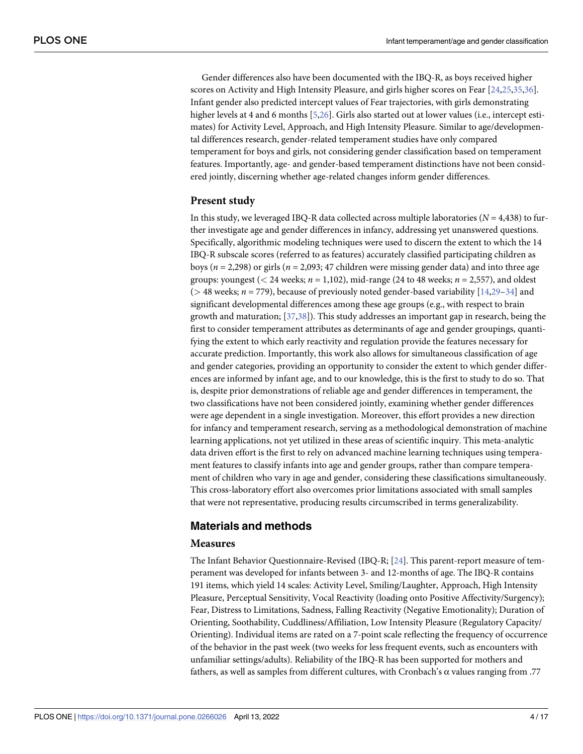<span id="page-3-0"></span>Gender differences also have been documented with the IBQ-R, as boys received higher scores on Activity and High Intensity Pleasure, and girls higher scores on Fear [[24,25,35,36](#page-14-0)]. Infant gender also predicted intercept values of Fear trajectories, with girls demonstrating higher levels at 4 and 6 months [[5,](#page-13-0)[26](#page-14-0)]. Girls also started out at lower values (i.e., intercept estimates) for Activity Level, Approach, and High Intensity Pleasure. Similar to age/developmental differences research, gender-related temperament studies have only compared temperament for boys and girls, not considering gender classification based on temperament features. Importantly, age- and gender-based temperament distinctions have not been considered jointly, discerning whether age-related changes inform gender differences.

#### **Present study**

In this study, we leveraged IBQ-R data collected across multiple laboratories ( $N = 4,438$ ) to further investigate age and gender differences in infancy, addressing yet unanswered questions. Specifically, algorithmic modeling techniques were used to discern the extent to which the 14 IBQ-R subscale scores (referred to as features) accurately classified participating children as boys (*n* = 2,298) or girls (*n* = 2,093; 47 children were missing gender data) and into three age groups: youngest (*<* 24 weeks; *n* = 1,102), mid-range (24 to 48 weeks; *n* = 2,557), and oldest (*>* 48 weeks; *n* = 779), because of previously noted gender-based variability [[14](#page-13-0)[,29–34\]](#page-14-0) and significant developmental differences among these age groups (e.g., with respect to brain growth and maturation; [\[37](#page-14-0),[38](#page-14-0)]). This study addresses an important gap in research, being the first to consider temperament attributes as determinants of age and gender groupings, quantifying the extent to which early reactivity and regulation provide the features necessary for accurate prediction. Importantly, this work also allows for simultaneous classification of age and gender categories, providing an opportunity to consider the extent to which gender differences are informed by infant age, and to our knowledge, this is the first to study to do so. That is, despite prior demonstrations of reliable age and gender differences in temperament, the two classifications have not been considered jointly, examining whether gender differences were age dependent in a single investigation. Moreover, this effort provides a new direction for infancy and temperament research, serving as a methodological demonstration of machine learning applications, not yet utilized in these areas of scientific inquiry. This meta-analytic data driven effort is the first to rely on advanced machine learning techniques using temperament features to classify infants into age and gender groups, rather than compare temperament of children who vary in age and gender, considering these classifications simultaneously. This cross-laboratory effort also overcomes prior limitations associated with small samples that were not representative, producing results circumscribed in terms generalizability.

#### **Materials and methods**

#### **Measures**

The Infant Behavior Questionnaire-Revised (IBQ-R; [[24](#page-14-0)]. This parent-report measure of temperament was developed for infants between 3- and 12-months of age. The IBQ-R contains 191 items, which yield 14 scales: Activity Level, Smiling/Laughter, Approach, High Intensity Pleasure, Perceptual Sensitivity, Vocal Reactivity (loading onto Positive Affectivity/Surgency); Fear, Distress to Limitations, Sadness, Falling Reactivity (Negative Emotionality); Duration of Orienting, Soothability, Cuddliness/Affiliation, Low Intensity Pleasure (Regulatory Capacity/ Orienting). Individual items are rated on a 7-point scale reflecting the frequency of occurrence of the behavior in the past week (two weeks for less frequent events, such as encounters with unfamiliar settings/adults). Reliability of the IBQ-R has been supported for mothers and fathers, as well as samples from different cultures, with Cronbach's  $\alpha$  values ranging from .77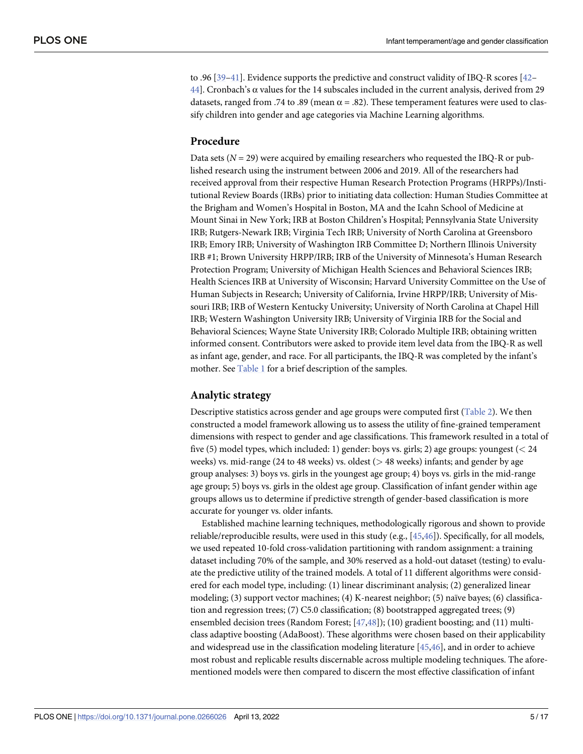<span id="page-4-0"></span>to .96 [[39–41\]](#page-14-0). Evidence supports the predictive and construct validity of IBQ-R scores [\[42–](#page-14-0) [44\]](#page-15-0). Cronbach's  $\alpha$  values for the 14 subscales included in the current analysis, derived from 29 datasets, ranged from .74 to .89 (mean  $\alpha$  = .82). These temperament features were used to classify children into gender and age categories via Machine Learning algorithms.

#### **Procedure**

Data sets  $(N = 29)$  were acquired by emailing researchers who requested the IBQ-R or published research using the instrument between 2006 and 2019. All of the researchers had received approval from their respective Human Research Protection Programs (HRPPs)/Institutional Review Boards (IRBs) prior to initiating data collection: Human Studies Committee at the Brigham and Women's Hospital in Boston, MA and the Icahn School of Medicine at Mount Sinai in New York; IRB at Boston Children's Hospital; Pennsylvania State University IRB; Rutgers-Newark IRB; Virginia Tech IRB; University of North Carolina at Greensboro IRB; Emory IRB; University of Washington IRB Committee D; Northern Illinois University IRB #1; Brown University HRPP/IRB; IRB of the University of Minnesota's Human Research Protection Program; University of Michigan Health Sciences and Behavioral Sciences IRB; Health Sciences IRB at University of Wisconsin; Harvard University Committee on the Use of Human Subjects in Research; University of California, Irvine HRPP/IRB; University of Missouri IRB; IRB of Western Kentucky University; University of North Carolina at Chapel Hill IRB; Western Washington University IRB; University of Virginia IRB for the Social and Behavioral Sciences; Wayne State University IRB; Colorado Multiple IRB; obtaining written informed consent. Contributors were asked to provide item level data from the IBQ-R as well as infant age, gender, and race. For all participants, the IBQ-R was completed by the infant's mother. See [Table](#page-5-0) 1 for a brief description of the samples.

#### **Analytic strategy**

Descriptive statistics across gender and age groups were computed first ([Table](#page-6-0) 2). We then constructed a model framework allowing us to assess the utility of fine-grained temperament dimensions with respect to gender and age classifications. This framework resulted in a total of five (5) model types, which included: 1) gender: boys vs. girls; 2) age groups: youngest (*<* 24 weeks) vs. mid-range (24 to 48 weeks) vs. oldest (*>* 48 weeks) infants; and gender by age group analyses: 3) boys vs. girls in the youngest age group; 4) boys vs. girls in the mid-range age group; 5) boys vs. girls in the oldest age group. Classification of infant gender within age groups allows us to determine if predictive strength of gender-based classification is more accurate for younger vs. older infants.

Established machine learning techniques, methodologically rigorous and shown to provide reliable/reproducible results, were used in this study (e.g., [[45,46\]](#page-15-0)). Specifically, for all models, we used repeated 10-fold cross-validation partitioning with random assignment: a training dataset including 70% of the sample, and 30% reserved as a hold-out dataset (testing) to evaluate the predictive utility of the trained models. A total of 11 different algorithms were considered for each model type, including: (1) linear discriminant analysis; (2) generalized linear modeling; (3) support vector machines; (4) K-nearest neighbor; (5) naïve bayes; (6) classification and regression trees; (7) C5.0 classification; (8) bootstrapped aggregated trees; (9) ensembled decision trees (Random Forest; [\[47,48\]](#page-15-0)); (10) gradient boosting; and (11) multiclass adaptive boosting (AdaBoost). These algorithms were chosen based on their applicability and widespread use in the classification modeling literature [\[45,46](#page-15-0)], and in order to achieve most robust and replicable results discernable across multiple modeling techniques. The aforementioned models were then compared to discern the most effective classification of infant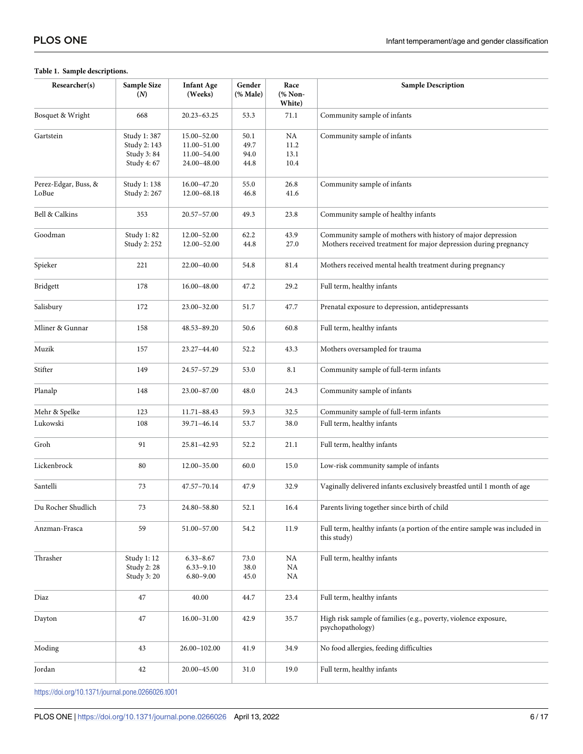#### <span id="page-5-0"></span>**[Table](#page-4-0) 1. Sample descriptions.**

| Researcher(s)                 | Sample Size<br>(N)                                      | <b>Infant Age</b><br>(Weeks)                             | Gender<br>$(%$ (% Male)      | Race<br>(% Non-<br>White)  | <b>Sample Description</b>                                                                                                        |
|-------------------------------|---------------------------------------------------------|----------------------------------------------------------|------------------------------|----------------------------|----------------------------------------------------------------------------------------------------------------------------------|
| Bosquet & Wright              | 668                                                     | 20.23-63.25                                              | 53.3                         | 71.1                       | Community sample of infants                                                                                                      |
| Gartstein                     | Study 1:387<br>Study 2: 143<br>Study 3:84<br>Study 4:67 | 15.00-52.00<br>11.00-51.00<br>11.00-54.00<br>24.00-48.00 | 50.1<br>49.7<br>94.0<br>44.8 | NA<br>11.2<br>13.1<br>10.4 | Community sample of infants                                                                                                      |
| Perez-Edgar, Buss, &<br>LoBue | Study 1: 138<br>Study 2: 267                            | 16.00-47.20<br>$12.00 - 68.18$                           | 55.0<br>46.8                 | 26.8<br>41.6               | Community sample of infants                                                                                                      |
| Bell & Calkins                | 353                                                     | 20.57-57.00                                              | 49.3                         | 23.8                       | Community sample of healthy infants                                                                                              |
| Goodman                       | Study 1:82<br>Study 2: 252                              | 12.00-52.00<br>12.00-52.00                               | 62.2<br>44.8                 | 43.9<br>27.0               | Community sample of mothers with history of major depression<br>Mothers received treatment for major depression during pregnancy |
| Spieker                       | 221                                                     | 22.00-40.00                                              | 54.8                         | 81.4                       | Mothers received mental health treatment during pregnancy                                                                        |
| Bridgett                      | 178                                                     | 16.00-48.00                                              | 47.2                         | 29.2                       | Full term, healthy infants                                                                                                       |
| Salisbury                     | 172                                                     | 23.00-32.00                                              | 51.7                         | 47.7                       | Prenatal exposure to depression, antidepressants                                                                                 |
| Mliner & Gunnar               | 158                                                     | 48.53-89.20                                              | 50.6                         | 60.8                       | Full term, healthy infants                                                                                                       |
| Muzik                         | 157                                                     | 23.27-44.40                                              | 52.2                         | 43.3                       | Mothers oversampled for trauma                                                                                                   |
| Stifter                       | 149                                                     | 24.57-57.29                                              | 53.0                         | 8.1                        | Community sample of full-term infants                                                                                            |
| Planalp                       | 148                                                     | 23.00-87.00                                              | 48.0                         | 24.3                       | Community sample of infants                                                                                                      |
| Mehr & Spelke                 | 123                                                     | 11.71-88.43                                              | 59.3                         | 32.5                       | Community sample of full-term infants                                                                                            |
| Lukowski                      | 108                                                     | 39.71-46.14                                              | 53.7                         | 38.0                       | Full term, healthy infants                                                                                                       |
| Groh                          | 91                                                      | 25.81-42.93                                              | 52.2                         | 21.1                       | Full term, healthy infants                                                                                                       |
| Lickenbrock                   | 80                                                      | 12.00-35.00                                              | 60.0                         | 15.0                       | Low-risk community sample of infants                                                                                             |
| Santelli                      | 73                                                      | 47.57-70.14                                              | 47.9                         | 32.9                       | Vaginally delivered infants exclusively breastfed until 1 month of age                                                           |
| Du Rocher Shudlich            | $73\,$                                                  | 24.80-58.80                                              | 52.1                         | 16.4                       | Parents living together since birth of child                                                                                     |
| Anzman-Frasca                 | 59                                                      | 51.00-57.00                                              | 54.2                         | 11.9                       | Full term, healthy infants (a portion of the entire sample was included in<br>this study)                                        |
| Thrasher                      | Study 1: 12<br>Study 2: 28<br>Study 3:20                | $6.33 - 8.67$<br>$6.33 - 9.10$<br>$6.80 - 9.00$          | 73.0<br>38.0<br>45.0         | NA<br>NA<br>NA             | Full term, healthy infants                                                                                                       |
| Diaz                          | 47                                                      | 40.00                                                    | 44.7                         | 23.4                       | Full term, healthy infants                                                                                                       |
| Dayton                        | 47                                                      | 16.00-31.00                                              | 42.9                         | 35.7                       | High risk sample of families (e.g., poverty, violence exposure,<br>psychopathology)                                              |
| Moding                        | 43                                                      | 26.00-102.00                                             | 41.9                         | 34.9                       | No food allergies, feeding difficulties                                                                                          |
| Jordan                        | 42                                                      | 20.00-45.00                                              | 31.0                         | 19.0                       | Full term, healthy infants                                                                                                       |

<https://doi.org/10.1371/journal.pone.0266026.t001>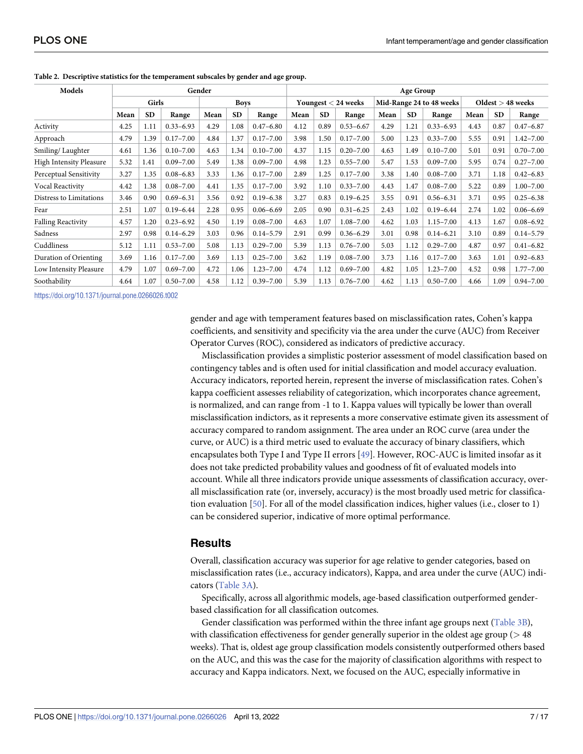| Models                         | Gender |           |               |             |           | Age Group     |                       |           |               |                          |           |               |                     |           |               |
|--------------------------------|--------|-----------|---------------|-------------|-----------|---------------|-----------------------|-----------|---------------|--------------------------|-----------|---------------|---------------------|-----------|---------------|
|                                | Girls  |           |               | <b>Boys</b> |           |               | Youngest $<$ 24 weeks |           |               | Mid-Range 24 to 48 weeks |           |               | $Oldest > 48$ weeks |           |               |
|                                | Mean   | <b>SD</b> | Range         | Mean        | <b>SD</b> | Range         | Mean                  | <b>SD</b> | Range         | Mean                     | <b>SD</b> | Range         | Mean                | <b>SD</b> | Range         |
| Activity                       | 4.25   | 1.11      | $0.33 - 6.93$ | 4.29        | 1.08      | $0.47 - 6.80$ | 4.12                  | 0.89      | $0.53 - 6.67$ | 4.29                     | 1.21      | $0.33 - 6.93$ | 4.43                | 0.87      | $0.47 - 6.87$ |
| Approach                       | 4.79   | 1.39      | $0.17 - 7.00$ | 4.84        | 1.37      | $0.17 - 7.00$ | 3.98                  | 1.50      | $0.17 - 7.00$ | 5.00                     | 1.23      | $0.33 - 7.00$ | 5.55                | 0.91      | $1.42 - 7.00$ |
| Smiling/Laughter               | 4.61   | 1.36      | $0.10 - 7.00$ | 4.63        | 1.34      | $0.10 - 7.00$ | 4.37                  | 1.15      | $0.20 - 7.00$ | 4.63                     | 1.49      | $0.10 - 7.00$ | 5.01                | 0.91      | $0.70 - 7.00$ |
| <b>High Intensity Pleasure</b> | 5.32   | 1.41      | $0.09 - 7.00$ | 5.49        | 1.38      | $0.09 - 7.00$ | 4.98                  | 1.23      | $0.55 - 7.00$ | 5.47                     | 1.53      | $0.09 - 7.00$ | 5.95                | 0.74      | $0.27 - 7.00$ |
| Perceptual Sensitivity         | 3.27   | 1.35      | $0.08 - 6.83$ | 3.33        | 1.36      | $0.17 - 7.00$ | 2.89                  | 1.25      | $0.17 - 7.00$ | 3.38                     | 1.40      | $0.08 - 7.00$ | 3.71                | 1.18      | $0.42 - 6.83$ |
| Vocal Reactivity               | 4.42   | 1.38      | $0.08 - 7.00$ | 4.41        | 1.35      | $0.17 - 7.00$ | 3.92                  | 1.10      | $0.33 - 7.00$ | 4.43                     | 1.47      | $0.08 - 7.00$ | 5.22                | 0.89      | $1.00 - 7.00$ |
| Distress to Limitations        | 3.46   | 0.90      | $0.69 - 6.31$ | 3.56        | 0.92      | $0.19 - 6.38$ | 3.27                  | 0.83      | $0.19 - 6.25$ | 3.55                     | 0.91      | $0.56 - 6.31$ | 3.71                | 0.95      | $0.25 - 6.38$ |
| Fear                           | 2.51   | 1.07      | $0.19 - 6.44$ | 2.28        | 0.95      | $0.06 - 6.69$ | 2.05                  | 0.90      | $0.31 - 6.25$ | 2.43                     | 1.02      | $0.19 - 6.44$ | 2.74                | 1.02      | $0.06 - 6.69$ |
| <b>Falling Reactivity</b>      | 4.57   | 1.20      | $0.23 - 6.92$ | 4.50        | 1.19      | $0.08 - 7.00$ | 4.63                  | 1.07      | $1.08 - 7.00$ | 4.62                     | 1.03      | $1.15 - 7.00$ | 4.13                | 1.67      | $0.08 - 6.92$ |
| Sadness                        | 2.97   | 0.98      | $0.14 - 6.29$ | 3.03        | 0.96      | $0.14 - 5.79$ | 2.91                  | 0.99      | $0.36 - 6.29$ | 3.01                     | 0.98      | $0.14 - 6.21$ | 3.10                | 0.89      | $0.14 - 5.79$ |
| Cuddliness                     | 5.12   | 1.11      | $0.53 - 7.00$ | 5.08        | 1.13      | $0.29 - 7.00$ | 5.39                  | 1.13      | $0.76 - 7.00$ | 5.03                     | 1.12      | $0.29 - 7.00$ | 4.87                | 0.97      | $0.41 - 6.82$ |
| Duration of Orienting          | 3.69   | 1.16      | $0.17 - 7.00$ | 3.69        | 1.13      | $0.25 - 7.00$ | 3.62                  | 1.19      | $0.08 - 7.00$ | 3.73                     | 1.16      | $0.17 - 7.00$ | 3.63                | 1.01      | $0.92 - 6.83$ |
| Low Intensity Pleasure         | 4.79   | 1.07      | $0.69 - 7.00$ | 4.72        | 1.06      | $1.23 - 7.00$ | 4.74                  | 1.12      | $0.69 - 7.00$ | 4.82                     | 1.05      | $1.23 - 7.00$ | 4.52                | 0.98      | $1.77 - 7.00$ |
| Soothability                   | 4.64   | 1.07      | $0.50 - 7.00$ | 4.58        | 1.12      | $0.39 - 7.00$ | 5.39                  | 1.13      | $0.76 - 7.00$ | 4.62                     | 1.13      | $0.50 - 7.00$ | 4.66                | 1.09      | $0.94 - 7.00$ |

<span id="page-6-0"></span>**[Table](#page-4-0) 2. Descriptive statistics for the temperament subscales by gender and age group.**

<https://doi.org/10.1371/journal.pone.0266026.t002>

gender and age with temperament features based on misclassification rates, Cohen's kappa coefficients, and sensitivity and specificity via the area under the curve (AUC) from Receiver Operator Curves (ROC), considered as indicators of predictive accuracy.

Misclassification provides a simplistic posterior assessment of model classification based on contingency tables and is often used for initial classification and model accuracy evaluation. Accuracy indicators, reported herein, represent the inverse of misclassification rates. Cohen's kappa coefficient assesses reliability of categorization, which incorporates chance agreement, is normalized, and can range from -1 to 1. Kappa values will typically be lower than overall misclassification indictors, as it represents a more conservative estimate given its assessment of accuracy compared to random assignment. The area under an ROC curve (area under the curve, or AUC) is a third metric used to evaluate the accuracy of binary classifiers, which encapsulates both Type I and Type II errors [[49](#page-15-0)]. However, ROC-AUC is limited insofar as it does not take predicted probability values and goodness of fit of evaluated models into account. While all three indicators provide unique assessments of classification accuracy, overall misclassification rate (or, inversely, accuracy) is the most broadly used metric for classification evaluation [\[50\]](#page-15-0). For all of the model classification indices, higher values (i.e., closer to 1) can be considered superior, indicative of more optimal performance.

#### **Results**

Overall, classification accuracy was superior for age relative to gender categories, based on misclassification rates (i.e., accuracy indicators), Kappa, and area under the curve (AUC) indicators ([Table](#page-7-0) 3A).

Specifically, across all algorithmic models, age-based classification outperformed genderbased classification for all classification outcomes.

Gender classification was performed within the three infant age groups next [\(Table](#page-7-0) 3B), with classification effectiveness for gender generally superior in the oldest age group (*>* 48 weeks). That is, oldest age group classification models consistently outperformed others based on the AUC, and this was the case for the majority of classification algorithms with respect to accuracy and Kappa indicators. Next, we focused on the AUC, especially informative in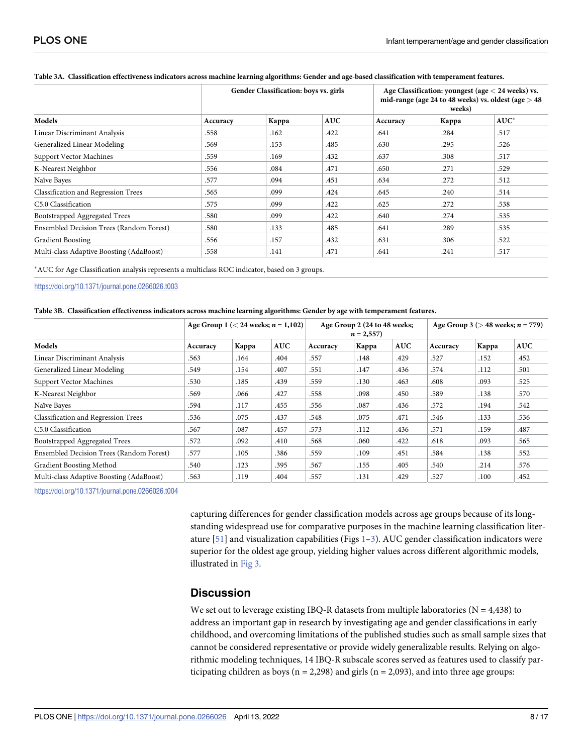|                                            |          | Gender Classification: boys vs. girls |            |          | Age Classification: youngest (age $<$ 24 weeks) vs.<br>mid-range (age 24 to 48 weeks) vs. oldest (age $>$ 48<br>weeks) |         |  |  |  |
|--------------------------------------------|----------|---------------------------------------|------------|----------|------------------------------------------------------------------------------------------------------------------------|---------|--|--|--|
| Models                                     | Accuracy | Kappa                                 | <b>AUC</b> | Accuracy | Kappa                                                                                                                  | $AUC^*$ |  |  |  |
| Linear Discriminant Analysis               | .558     | .162                                  | .422       | .641     | .284                                                                                                                   | .517    |  |  |  |
| Generalized Linear Modeling                | .569     | .153                                  | .485       | .630     | .295                                                                                                                   | .526    |  |  |  |
| <b>Support Vector Machines</b>             | .559     | .169                                  | .432       | .637     | .308                                                                                                                   | .517    |  |  |  |
| K-Nearest Neighbor                         | .556     | .084                                  | .471       | .650     | .271                                                                                                                   | .529    |  |  |  |
| Naïve Bayes                                | .577     | .094                                  | .451       | .634     | .272                                                                                                                   | .512    |  |  |  |
| <b>Classification and Regression Trees</b> | .565     | .099                                  | .424       | .645     | .240                                                                                                                   | .514    |  |  |  |
| C5.0 Classification                        | .575     | .099                                  | .422       | .625     | .272                                                                                                                   | .538    |  |  |  |
| Bootstrapped Aggregated Trees              | .580     | .099                                  | .422       | .640     | .274                                                                                                                   | .535    |  |  |  |
| Ensembled Decision Trees (Random Forest)   | .580     | .133                                  | .485       | .641     | .289                                                                                                                   | .535    |  |  |  |
| <b>Gradient Boosting</b>                   | .556     | .157                                  | .432       | .631     | .306                                                                                                                   | .522    |  |  |  |
| Multi-class Adaptive Boosting (AdaBoost)   | .558     | .141                                  | .471       | .641     | .241                                                                                                                   | .517    |  |  |  |

#### <span id="page-7-0"></span>[Table](#page-6-0) 3A. Classification effectiveness indicators across machine learning algorithms: Gender and age-based classification with temperament features.

�AUC for Age Classification analysis represents a multiclass ROC indicator, based on 3 groups.

<https://doi.org/10.1371/journal.pone.0266026.t003>

|  | Table 3B. Classification effectiveness indicators across machine learning algorithms: Gender by age with temperament features. |
|--|--------------------------------------------------------------------------------------------------------------------------------|
|  |                                                                                                                                |

|                                            |          | Age Group 1 ( $<$ 24 weeks; $n = 1,102$ ) |            |          | Age Group 2 (24 to 48 weeks;<br>$n = 2,557$ |            |          | Age Group 3 ( $>$ 48 weeks; <i>n</i> = 779) |            |  |
|--------------------------------------------|----------|-------------------------------------------|------------|----------|---------------------------------------------|------------|----------|---------------------------------------------|------------|--|
| Models                                     | Accuracy | Kappa                                     | <b>AUC</b> | Accuracy | Kappa                                       | <b>AUC</b> | Accuracy | Kappa                                       | <b>AUC</b> |  |
| Linear Discriminant Analysis               | .563     | .164                                      | .404       | .557     | .148                                        | .429       | .527     | .152                                        | .452       |  |
| Generalized Linear Modeling                | .549     | .154                                      | .407       | .551     | .147                                        | .436       | .574     | .112                                        | .501       |  |
| <b>Support Vector Machines</b>             | .530     | .185                                      | .439       | .559     | .130                                        | .463       | .608     | .093                                        | .525       |  |
| K-Nearest Neighbor                         | .569     | .066                                      | .427       | .558     | .098                                        | .450       | .589     | .138                                        | .570       |  |
| Naïve Bayes                                | .594     | .117                                      | .455       | .556     | .087                                        | .436       | .572     | .194                                        | .542       |  |
| <b>Classification and Regression Trees</b> | .536     | .075                                      | .437       | .548     | .075                                        | .471       | .546     | .133                                        | .536       |  |
| C5.0 Classification                        | .567     | .087                                      | .457       | .573     | .112                                        | .436       | .571     | .159                                        | .487       |  |
| Bootstrapped Aggregated Trees              | .572     | .092                                      | .410       | .568     | .060                                        | .422       | .618     | .093                                        | .565       |  |
| Ensembled Decision Trees (Random Forest)   | .577     | .105                                      | .386       | .559     | .109                                        | .451       | .584     | .138                                        | .552       |  |
| Gradient Boosting Method                   | .540     | .123                                      | .395       | .567     | .155                                        | .405       | .540     | .214                                        | .576       |  |
| Multi-class Adaptive Boosting (AdaBoost)   | .563     | .119                                      | .404       | .557     | .131                                        | .429       | .527     | .100                                        | .452       |  |

<https://doi.org/10.1371/journal.pone.0266026.t004>

capturing differences for gender classification models across age groups because of its longstanding widespread use for comparative purposes in the machine learning classification literature  $[51]$  and visualization capabilities (Figs  $1-3$  $1-3$ ). AUC gender classification indicators were superior for the oldest age group, yielding higher values across different algorithmic models, illustrated in [Fig](#page-9-0) 3.

#### **Discussion**

We set out to leverage existing IBQ-R datasets from multiple laboratories ( $N = 4,438$ ) to address an important gap in research by investigating age and gender classifications in early childhood, and overcoming limitations of the published studies such as small sample sizes that cannot be considered representative or provide widely generalizable results. Relying on algorithmic modeling techniques, 14 IBQ-R subscale scores served as features used to classify participating children as boys ( $n = 2,298$ ) and girls ( $n = 2,093$ ), and into three age groups: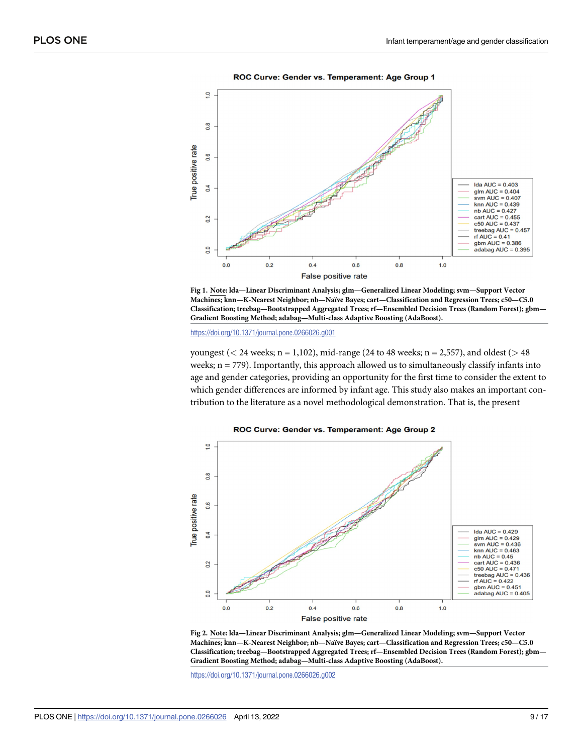<span id="page-8-0"></span>

ROC Curve: Gender vs. Temperament: Age Group 1

**[Fig](#page-7-0) 1. Note: lda—Linear Discriminant Analysis; glm—Generalized Linear Modeling; svm—Support Vector Machines; knn—K-Nearest Neighbor; nb—Naïve Bayes; cart—Classification and Regression Trees; c50—C5.0 Classification; treebag—Bootstrapped Aggregated Trees; rf—Ensembled Decision Trees (Random Forest); gbm— Gradient Boosting Method; adabag—Multi-class Adaptive Boosting (AdaBoost).**

<https://doi.org/10.1371/journal.pone.0266026.g001>

youngest (*<* 24 weeks; n = 1,102), mid-range (24 to 48 weeks; n = 2,557), and oldest (*>* 48 weeks;  $n = 779$ ). Importantly, this approach allowed us to simultaneously classify infants into age and gender categories, providing an opportunity for the first time to consider the extent to which gender differences are informed by infant age. This study also makes an important contribution to the literature as a novel methodological demonstration. That is, the present



**Fig 2. Note: lda—Linear Discriminant Analysis; glm—Generalized Linear Modeling; svm—Support Vector Machines; knn—K-Nearest Neighbor; nb—Naïve Bayes; cart—Classification and Regression Trees; c50—C5.0 Classification; treebag—Bootstrapped Aggregated Trees; rf—Ensembled Decision Trees (Random Forest); gbm— Gradient Boosting Method; adabag—Multi-class Adaptive Boosting (AdaBoost).**

<https://doi.org/10.1371/journal.pone.0266026.g002>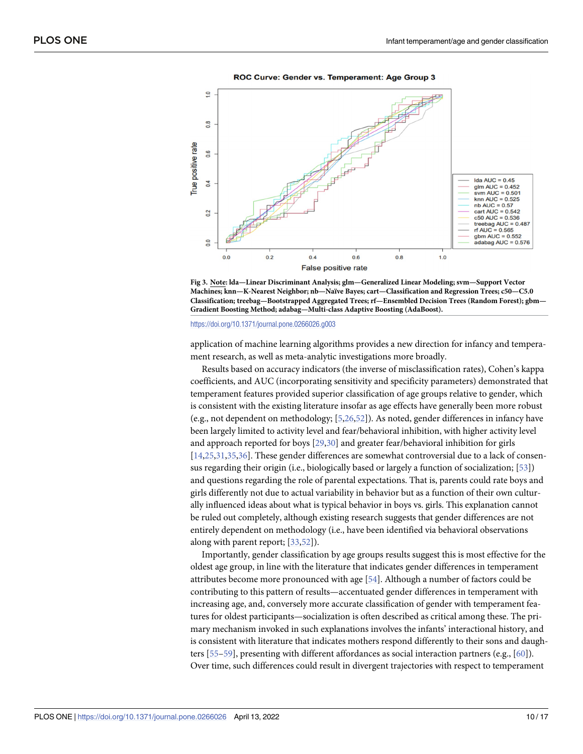<span id="page-9-0"></span>

ROC Curve: Gender vs. Temperament: Age Group 3

**[Fig](#page-7-0) 3. Note: lda—Linear Discriminant Analysis; glm—Generalized Linear Modeling; svm—Support Vector Machines; knn—K-Nearest Neighbor; nb—Naïve Bayes; cart—Classification and Regression Trees; c50—C5.0 Classification; treebag—Bootstrapped Aggregated Trees; rf—Ensembled Decision Trees (Random Forest); gbm— Gradient Boosting Method; adabag—Multi-class Adaptive Boosting (AdaBoost).**

#### <https://doi.org/10.1371/journal.pone.0266026.g003>

application of machine learning algorithms provides a new direction for infancy and temperament research, as well as meta-analytic investigations more broadly.

Results based on accuracy indicators (the inverse of misclassification rates), Cohen's kappa coefficients, and AUC (incorporating sensitivity and specificity parameters) demonstrated that temperament features provided superior classification of age groups relative to gender, which is consistent with the existing literature insofar as age effects have generally been more robust (e.g., not dependent on methodology; [\[5,](#page-13-0)[26,](#page-14-0)[52](#page-15-0)]). As noted, gender differences in infancy have been largely limited to activity level and fear/behavioral inhibition, with higher activity level and approach reported for boys [\[29,30](#page-14-0)] and greater fear/behavioral inhibition for girls [\[14](#page-13-0)[,25,31](#page-14-0),[35,36\]](#page-14-0). These gender differences are somewhat controversial due to a lack of consensus regarding their origin (i.e., biologically based or largely a function of socialization; [\[53\]](#page-15-0)) and questions regarding the role of parental expectations. That is, parents could rate boys and girls differently not due to actual variability in behavior but as a function of their own culturally influenced ideas about what is typical behavior in boys vs. girls. This explanation cannot be ruled out completely, although existing research suggests that gender differences are not entirely dependent on methodology (i.e., have been identified via behavioral observations along with parent report; [\[33,](#page-14-0)[52](#page-15-0)]).

Importantly, gender classification by age groups results suggest this is most effective for the oldest age group, in line with the literature that indicates gender differences in temperament attributes become more pronounced with age [[54](#page-15-0)]. Although a number of factors could be contributing to this pattern of results—accentuated gender differences in temperament with increasing age, and, conversely more accurate classification of gender with temperament features for oldest participants—socialization is often described as critical among these. The primary mechanism invoked in such explanations involves the infants' interactional history, and is consistent with literature that indicates mothers respond differently to their sons and daughters [\[55–59](#page-15-0)], presenting with different affordances as social interaction partners (e.g., [\[60\]](#page-15-0)). Over time, such differences could result in divergent trajectories with respect to temperament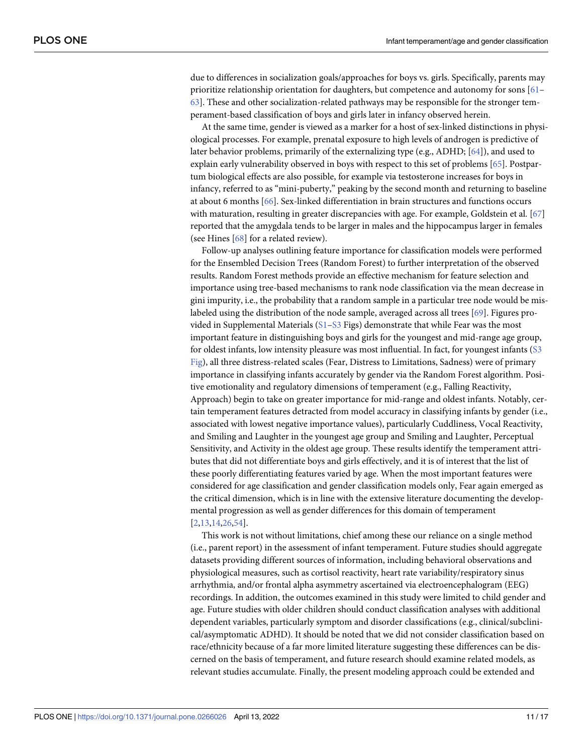<span id="page-10-0"></span>due to differences in socialization goals/approaches for boys vs. girls. Specifically, parents may prioritize relationship orientation for daughters, but competence and autonomy for sons [\[61–](#page-15-0) [63\]](#page-15-0). These and other socialization-related pathways may be responsible for the stronger temperament-based classification of boys and girls later in infancy observed herein.

At the same time, gender is viewed as a marker for a host of sex-linked distinctions in physiological processes. For example, prenatal exposure to high levels of androgen is predictive of later behavior problems, primarily of the externalizing type (e.g., ADHD; [\[64\]](#page-15-0)), and used to explain early vulnerability observed in boys with respect to this set of problems [[65](#page-15-0)]. Postpartum biological effects are also possible, for example via testosterone increases for boys in infancy, referred to as "mini-puberty," peaking by the second month and returning to baseline at about 6 months [[66](#page-15-0)]. Sex-linked differentiation in brain structures and functions occurs with maturation, resulting in greater discrepancies with age. For example, Goldstein et al. [[67](#page-15-0)] reported that the amygdala tends to be larger in males and the hippocampus larger in females (see Hines [[68](#page-15-0)] for a related review).

Follow-up analyses outlining feature importance for classification models were performed for the Ensembled Decision Trees (Random Forest) to further interpretation of the observed results. Random Forest methods provide an effective mechanism for feature selection and importance using tree-based mechanisms to rank node classification via the mean decrease in gini impurity, i.e., the probability that a random sample in a particular tree node would be mislabeled using the distribution of the node sample, averaged across all trees [\[69\]](#page-16-0). Figures provided in Supplemental Materials  $(S1 - S3$  Figs) demonstrate that while Fear was the most important feature in distinguishing boys and girls for the youngest and mid-range age group, for oldest infants, low intensity pleasure was most influential. In fact, for youngest infants ([S3](#page-11-0) [Fig\)](#page-11-0), all three distress-related scales (Fear, Distress to Limitations, Sadness) were of primary importance in classifying infants accurately by gender via the Random Forest algorithm. Positive emotionality and regulatory dimensions of temperament (e.g., Falling Reactivity, Approach) begin to take on greater importance for mid-range and oldest infants. Notably, certain temperament features detracted from model accuracy in classifying infants by gender (i.e., associated with lowest negative importance values), particularly Cuddliness, Vocal Reactivity, and Smiling and Laughter in the youngest age group and Smiling and Laughter, Perceptual Sensitivity, and Activity in the oldest age group. These results identify the temperament attributes that did not differentiate boys and girls effectively, and it is of interest that the list of these poorly differentiating features varied by age. When the most important features were considered for age classification and gender classification models only, Fear again emerged as the critical dimension, which is in line with the extensive literature documenting the developmental progression as well as gender differences for this domain of temperament [\[2,13,14,](#page-13-0)[26](#page-14-0),[54](#page-15-0)].

This work is not without limitations, chief among these our reliance on a single method (i.e., parent report) in the assessment of infant temperament. Future studies should aggregate datasets providing different sources of information, including behavioral observations and physiological measures, such as cortisol reactivity, heart rate variability/respiratory sinus arrhythmia, and/or frontal alpha asymmetry ascertained via electroencephalogram (EEG) recordings. In addition, the outcomes examined in this study were limited to child gender and age. Future studies with older children should conduct classification analyses with additional dependent variables, particularly symptom and disorder classifications (e.g., clinical/subclinical/asymptomatic ADHD). It should be noted that we did not consider classification based on race/ethnicity because of a far more limited literature suggesting these differences can be discerned on the basis of temperament, and future research should examine related models, as relevant studies accumulate. Finally, the present modeling approach could be extended and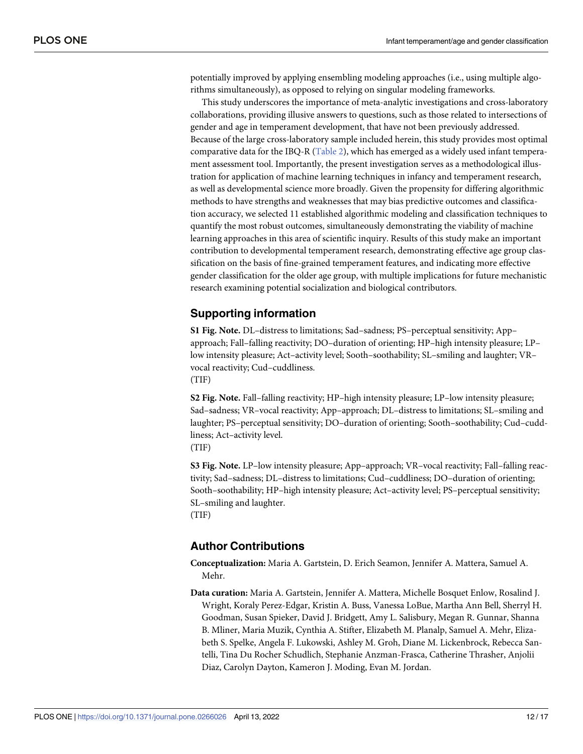<span id="page-11-0"></span>potentially improved by applying ensembling modeling approaches (i.e., using multiple algorithms simultaneously), as opposed to relying on singular modeling frameworks.

This study underscores the importance of meta-analytic investigations and cross-laboratory collaborations, providing illusive answers to questions, such as those related to intersections of gender and age in temperament development, that have not been previously addressed. Because of the large cross-laboratory sample included herein, this study provides most optimal comparative data for the IBQ-R [\(Table](#page-6-0) 2), which has emerged as a widely used infant temperament assessment tool. Importantly, the present investigation serves as a methodological illustration for application of machine learning techniques in infancy and temperament research, as well as developmental science more broadly. Given the propensity for differing algorithmic methods to have strengths and weaknesses that may bias predictive outcomes and classification accuracy, we selected 11 established algorithmic modeling and classification techniques to quantify the most robust outcomes, simultaneously demonstrating the viability of machine learning approaches in this area of scientific inquiry. Results of this study make an important contribution to developmental temperament research, demonstrating effective age group classification on the basis of fine-grained temperament features, and indicating more effective gender classification for the older age group, with multiple implications for future mechanistic research examining potential socialization and biological contributors.

## **Supporting information**

**S1 [Fig](http://www.plosone.org/article/fetchSingleRepresentation.action?uri=info:doi/10.1371/journal.pone.0266026.s001). Note.** DL–distress to limitations; Sad–sadness; PS–perceptual sensitivity; App– approach; Fall–falling reactivity; DO–duration of orienting; HP–high intensity pleasure; LP– low intensity pleasure; Act–activity level; Sooth–soothability; SL–smiling and laughter; VR– vocal reactivity; Cud–cuddliness. (TIF)

**S2 [Fig](http://www.plosone.org/article/fetchSingleRepresentation.action?uri=info:doi/10.1371/journal.pone.0266026.s002). Note.** Fall–falling reactivity; HP–high intensity pleasure; LP–low intensity pleasure; Sad–sadness; VR–vocal reactivity; App–approach; DL–distress to limitations; SL–smiling and laughter; PS–perceptual sensitivity; DO–duration of orienting; Sooth–soothability; Cud–cuddliness; Act–activity level.

(TIF)

**S3 [Fig](http://www.plosone.org/article/fetchSingleRepresentation.action?uri=info:doi/10.1371/journal.pone.0266026.s003). Note.** LP–low intensity pleasure; App–approach; VR–vocal reactivity; Fall–falling reactivity; Sad–sadness; DL–distress to limitations; Cud–cuddliness; DO–duration of orienting; Sooth–soothability; HP–high intensity pleasure; Act–activity level; PS–perceptual sensitivity; SL–smiling and laughter.

(TIF)

#### **Author Contributions**

**Conceptualization:** Maria A. Gartstein, D. Erich Seamon, Jennifer A. Mattera, Samuel A. Mehr.

**Data curation:** Maria A. Gartstein, Jennifer A. Mattera, Michelle Bosquet Enlow, Rosalind J. Wright, Koraly Perez-Edgar, Kristin A. Buss, Vanessa LoBue, Martha Ann Bell, Sherryl H. Goodman, Susan Spieker, David J. Bridgett, Amy L. Salisbury, Megan R. Gunnar, Shanna B. Mliner, Maria Muzik, Cynthia A. Stifter, Elizabeth M. Planalp, Samuel A. Mehr, Elizabeth S. Spelke, Angela F. Lukowski, Ashley M. Groh, Diane M. Lickenbrock, Rebecca Santelli, Tina Du Rocher Schudlich, Stephanie Anzman-Frasca, Catherine Thrasher, Anjolii Diaz, Carolyn Dayton, Kameron J. Moding, Evan M. Jordan.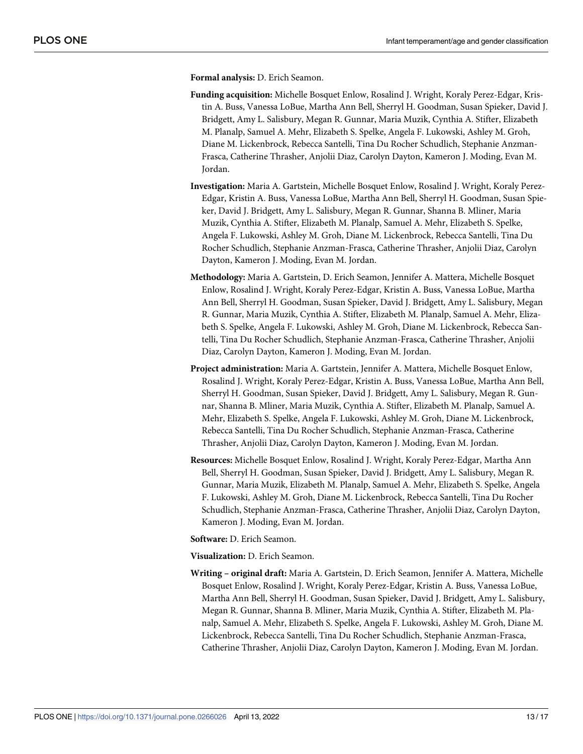**Formal analysis:** D. Erich Seamon.

- **Funding acquisition:** Michelle Bosquet Enlow, Rosalind J. Wright, Koraly Perez-Edgar, Kristin A. Buss, Vanessa LoBue, Martha Ann Bell, Sherryl H. Goodman, Susan Spieker, David J. Bridgett, Amy L. Salisbury, Megan R. Gunnar, Maria Muzik, Cynthia A. Stifter, Elizabeth M. Planalp, Samuel A. Mehr, Elizabeth S. Spelke, Angela F. Lukowski, Ashley M. Groh, Diane M. Lickenbrock, Rebecca Santelli, Tina Du Rocher Schudlich, Stephanie Anzman-Frasca, Catherine Thrasher, Anjolii Diaz, Carolyn Dayton, Kameron J. Moding, Evan M. Jordan.
- **Investigation:** Maria A. Gartstein, Michelle Bosquet Enlow, Rosalind J. Wright, Koraly Perez-Edgar, Kristin A. Buss, Vanessa LoBue, Martha Ann Bell, Sherryl H. Goodman, Susan Spieker, David J. Bridgett, Amy L. Salisbury, Megan R. Gunnar, Shanna B. Mliner, Maria Muzik, Cynthia A. Stifter, Elizabeth M. Planalp, Samuel A. Mehr, Elizabeth S. Spelke, Angela F. Lukowski, Ashley M. Groh, Diane M. Lickenbrock, Rebecca Santelli, Tina Du Rocher Schudlich, Stephanie Anzman-Frasca, Catherine Thrasher, Anjolii Diaz, Carolyn Dayton, Kameron J. Moding, Evan M. Jordan.
- **Methodology:** Maria A. Gartstein, D. Erich Seamon, Jennifer A. Mattera, Michelle Bosquet Enlow, Rosalind J. Wright, Koraly Perez-Edgar, Kristin A. Buss, Vanessa LoBue, Martha Ann Bell, Sherryl H. Goodman, Susan Spieker, David J. Bridgett, Amy L. Salisbury, Megan R. Gunnar, Maria Muzik, Cynthia A. Stifter, Elizabeth M. Planalp, Samuel A. Mehr, Elizabeth S. Spelke, Angela F. Lukowski, Ashley M. Groh, Diane M. Lickenbrock, Rebecca Santelli, Tina Du Rocher Schudlich, Stephanie Anzman-Frasca, Catherine Thrasher, Anjolii Diaz, Carolyn Dayton, Kameron J. Moding, Evan M. Jordan.
- **Project administration:** Maria A. Gartstein, Jennifer A. Mattera, Michelle Bosquet Enlow, Rosalind J. Wright, Koraly Perez-Edgar, Kristin A. Buss, Vanessa LoBue, Martha Ann Bell, Sherryl H. Goodman, Susan Spieker, David J. Bridgett, Amy L. Salisbury, Megan R. Gunnar, Shanna B. Mliner, Maria Muzik, Cynthia A. Stifter, Elizabeth M. Planalp, Samuel A. Mehr, Elizabeth S. Spelke, Angela F. Lukowski, Ashley M. Groh, Diane M. Lickenbrock, Rebecca Santelli, Tina Du Rocher Schudlich, Stephanie Anzman-Frasca, Catherine Thrasher, Anjolii Diaz, Carolyn Dayton, Kameron J. Moding, Evan M. Jordan.
- **Resources:** Michelle Bosquet Enlow, Rosalind J. Wright, Koraly Perez-Edgar, Martha Ann Bell, Sherryl H. Goodman, Susan Spieker, David J. Bridgett, Amy L. Salisbury, Megan R. Gunnar, Maria Muzik, Elizabeth M. Planalp, Samuel A. Mehr, Elizabeth S. Spelke, Angela F. Lukowski, Ashley M. Groh, Diane M. Lickenbrock, Rebecca Santelli, Tina Du Rocher Schudlich, Stephanie Anzman-Frasca, Catherine Thrasher, Anjolii Diaz, Carolyn Dayton, Kameron J. Moding, Evan M. Jordan.
- **Software:** D. Erich Seamon.

**Visualization:** D. Erich Seamon.

**Writing – original draft:** Maria A. Gartstein, D. Erich Seamon, Jennifer A. Mattera, Michelle Bosquet Enlow, Rosalind J. Wright, Koraly Perez-Edgar, Kristin A. Buss, Vanessa LoBue, Martha Ann Bell, Sherryl H. Goodman, Susan Spieker, David J. Bridgett, Amy L. Salisbury, Megan R. Gunnar, Shanna B. Mliner, Maria Muzik, Cynthia A. Stifter, Elizabeth M. Planalp, Samuel A. Mehr, Elizabeth S. Spelke, Angela F. Lukowski, Ashley M. Groh, Diane M. Lickenbrock, Rebecca Santelli, Tina Du Rocher Schudlich, Stephanie Anzman-Frasca, Catherine Thrasher, Anjolii Diaz, Carolyn Dayton, Kameron J. Moding, Evan M. Jordan.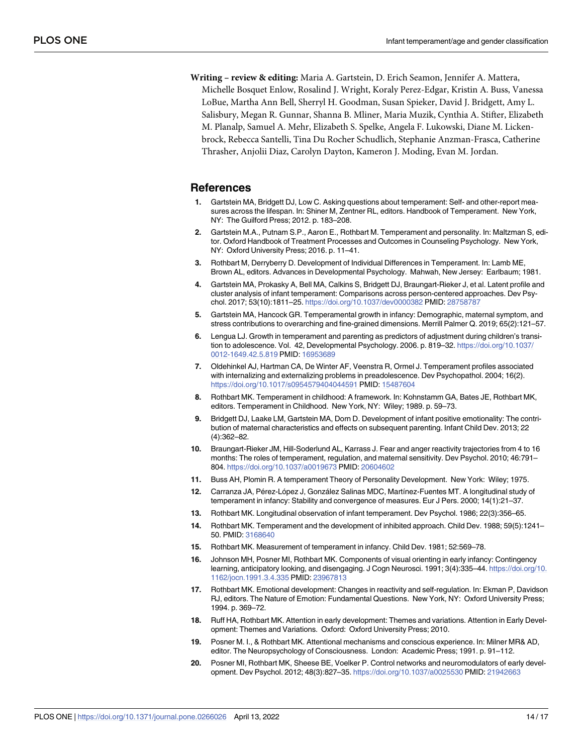<span id="page-13-0"></span>**Writing – review & editing:** Maria A. Gartstein, D. Erich Seamon, Jennifer A. Mattera, Michelle Bosquet Enlow, Rosalind J. Wright, Koraly Perez-Edgar, Kristin A. Buss, Vanessa LoBue, Martha Ann Bell, Sherryl H. Goodman, Susan Spieker, David J. Bridgett, Amy L. Salisbury, Megan R. Gunnar, Shanna B. Mliner, Maria Muzik, Cynthia A. Stifter, Elizabeth M. Planalp, Samuel A. Mehr, Elizabeth S. Spelke, Angela F. Lukowski, Diane M. Lickenbrock, Rebecca Santelli, Tina Du Rocher Schudlich, Stephanie Anzman-Frasca, Catherine Thrasher, Anjolii Diaz, Carolyn Dayton, Kameron J. Moding, Evan M. Jordan.

#### **References**

- **[1](#page-1-0).** Gartstein MA, Bridgett DJ, Low C. Asking questions about temperament: Self- and other-report measures across the lifespan. In: Shiner M, Zentner RL, editors. Handbook of Temperament. New York, NY: The Guilford Press; 2012. p. 183–208.
- **[2](#page-10-0).** Gartstein M.A., Putnam S.P., Aaron E., Rothbart M. Temperament and personality. In: Maltzman S, editor. Oxford Handbook of Treatment Processes and Outcomes in Counseling Psychology. New York, NY: Oxford University Press; 2016. p. 11–41.
- **[3](#page-1-0).** Rothbart M, Derryberry D. Development of Individual Differences in Temperament. In: Lamb ME, Brown AL, editors. Advances in Developmental Psychology. Mahwah, New Jersey: Earlbaum; 1981.
- **[4](#page-1-0).** Gartstein MA, Prokasky A, Bell MA, Calkins S, Bridgett DJ, Braungart-Rieker J, et al. Latent profile and cluster analysis of infant temperament: Comparisons across person-centered approaches. Dev Psychol. 2017; 53(10):1811–25. <https://doi.org/10.1037/dev0000382> PMID: [28758787](http://www.ncbi.nlm.nih.gov/pubmed/28758787)
- **[5](#page-3-0).** Gartstein MA, Hancock GR. Temperamental growth in infancy: Demographic, maternal symptom, and stress contributions to overarching and fine-grained dimensions. Merrill Palmer Q. 2019; 65(2):121–57.
- **6.** Lengua LJ. Growth in temperament and parenting as predictors of adjustment during children's transition to adolescence. Vol. 42, Developmental Psychology. 2006. p. 819–32. [https://doi.org/10.1037/](https://doi.org/10.1037/0012-1649.42.5.819) [0012-1649.42.5.819](https://doi.org/10.1037/0012-1649.42.5.819) PMID: [16953689](http://www.ncbi.nlm.nih.gov/pubmed/16953689)
- **[7](#page-1-0).** Oldehinkel AJ, Hartman CA, De Winter AF, Veenstra R, Ormel J. Temperament profiles associated with internalizing and externalizing problems in preadolescence. Dev Psychopathol. 2004; 16(2). <https://doi.org/10.1017/s0954579404044591> PMID: [15487604](http://www.ncbi.nlm.nih.gov/pubmed/15487604)
- **[8](#page-1-0).** Rothbart MK. Temperament in childhood: A framework. In: Kohnstamm GA, Bates JE, Rothbart MK, editors. Temperament in Childhood. New York, NY: Wiley; 1989. p. 59–73.
- **[9](#page-1-0).** Bridgett DJ, Laake LM, Gartstein MA, Dorn D. Development of infant positive emotionality: The contribution of maternal characteristics and effects on subsequent parenting. Infant Child Dev. 2013; 22 (4):362–82.
- **[10](#page-2-0).** Braungart-Rieker JM, Hill-Soderlund AL, Karrass J. Fear and anger reactivity trajectories from 4 to 16 months: The roles of temperament, regulation, and maternal sensitivity. Dev Psychol. 2010; 46:791– 804. <https://doi.org/10.1037/a0019673> PMID: [20604602](http://www.ncbi.nlm.nih.gov/pubmed/20604602)
- **11.** Buss AH, Plomin R. A temperament Theory of Personality Development. New York: Wiley; 1975.
- [12](#page-2-0). Carranza JA, Pérez-López J, González Salinas MDC, Martínez-Fuentes MT. A longitudinal study of temperament in infancy: Stability and convergence of measures. Eur J Pers. 2000; 14(1):21–37.
- **[13](#page-10-0).** Rothbart MK. Longitudinal observation of infant temperament. Dev Psychol. 1986; 22(3):356–65.
- **[14](#page-9-0).** Rothbart MK. Temperament and the development of inhibited approach. Child Dev. 1988; 59(5):1241– 50. PMID: [3168640](http://www.ncbi.nlm.nih.gov/pubmed/3168640)
- **[15](#page-2-0).** Rothbart MK. Measurement of temperament in infancy. Child Dev. 1981; 52:569–78.
- **[16](#page-2-0).** Johnson MH, Posner MI, Rothbart MK. Components of visual orienting in early infancy: Contingency learning, anticipatory looking, and disengaging. J Cogn Neurosci. 1991; 3(4):335–44. [https://doi.org/10.](https://doi.org/10.1162/jocn.1991.3.4.335) [1162/jocn.1991.3.4.335](https://doi.org/10.1162/jocn.1991.3.4.335) PMID: [23967813](http://www.ncbi.nlm.nih.gov/pubmed/23967813)
- **[17](#page-2-0).** Rothbart MK. Emotional development: Changes in reactivity and self-regulation. In: Ekman P, Davidson RJ, editors. The Nature of Emotion: Fundamental Questions. New York, NY: Oxford University Press; 1994. p. 369–72.
- **[18](#page-2-0).** Ruff HA, Rothbart MK. Attention in early development: Themes and variations. Attention in Early Development: Themes and Variations. Oxford: Oxford University Press; 2010.
- **[19](#page-2-0).** Posner M. I., & Rothbart MK. Attentional mechanisms and conscious experience. In: Milner MR& AD, editor. The Neuropsychology of Consciousness. London: Academic Press; 1991. p. 91–112.
- **20.** Posner MI, Rothbart MK, Sheese BE, Voelker P. Control networks and neuromodulators of early development. Dev Psychol. 2012; 48(3):827–35. <https://doi.org/10.1037/a0025530> PMID: [21942663](http://www.ncbi.nlm.nih.gov/pubmed/21942663)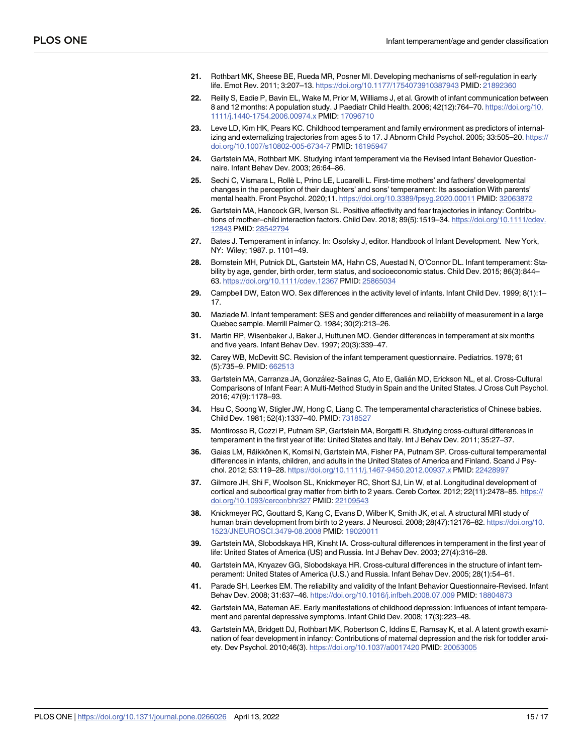- <span id="page-14-0"></span>**[21](#page-2-0).** Rothbart MK, Sheese BE, Rueda MR, Posner MI. Developing mechanisms of self-regulation in early life. Emot Rev. 2011; 3:207–13. <https://doi.org/10.1177/1754073910387943> PMID: [21892360](http://www.ncbi.nlm.nih.gov/pubmed/21892360)
- **[22](#page-2-0).** Reilly S, Eadie P, Bavin EL, Wake M, Prior M, Williams J, et al. Growth of infant communication between 8 and 12 months: A population study. J Paediatr Child Health. 2006; 42(12):764–70. [https://doi.org/10.](https://doi.org/10.1111/j.1440-1754.2006.00974.x) [1111/j.1440-1754.2006.00974.x](https://doi.org/10.1111/j.1440-1754.2006.00974.x) PMID: [17096710](http://www.ncbi.nlm.nih.gov/pubmed/17096710)
- **[23](#page-2-0).** Leve LD, Kim HK, Pears KC. Childhood temperament and family environment as predictors of internalizing and externalizing trajectories from ages 5 to 17. J Abnorm Child Psychol. 2005; 33:505–20. [https://](https://doi.org/10.1007/s10802-005-6734-7) [doi.org/10.1007/s10802-005-6734-7](https://doi.org/10.1007/s10802-005-6734-7) PMID: [16195947](http://www.ncbi.nlm.nih.gov/pubmed/16195947)
- **[24](#page-3-0).** Gartstein MA, Rothbart MK. Studying infant temperament via the Revised Infant Behavior Questionnaire. Infant Behav Dev. 2003; 26:64–86.
- **[25](#page-3-0).** Sechi C, Vismara L, Rollè L, Prino LE, Lucarelli L. First-time mothers' and fathers' developmental changes in the perception of their daughters' and sons' temperament: Its association With parents' mental health. Front Psychol. 2020;11. <https://doi.org/10.3389/fpsyg.2020.00011> PMID: [32063872](http://www.ncbi.nlm.nih.gov/pubmed/32063872)
- **[26](#page-10-0).** Gartstein MA, Hancock GR, Iverson SL. Positive affectivity and fear trajectories in infancy: Contributions of mother–child interaction factors. Child Dev. 2018; 89(5):1519–34. [https://doi.org/10.1111/cdev.](https://doi.org/10.1111/cdev.12843) [12843](https://doi.org/10.1111/cdev.12843) PMID: [28542794](http://www.ncbi.nlm.nih.gov/pubmed/28542794)
- **[27](#page-2-0).** Bates J. Temperament in infancy. In: Osofsky J, editor. Handbook of Infant Development. New York, NY: Wiley; 1987. p. 1101–49.
- **[28](#page-2-0).** Bornstein MH, Putnick DL, Gartstein MA, Hahn CS, Auestad N, O'Connor DL. Infant temperament: Stability by age, gender, birth order, term status, and socioeconomic status. Child Dev. 2015; 86(3):844– 63. <https://doi.org/10.1111/cdev.12367> PMID: [25865034](http://www.ncbi.nlm.nih.gov/pubmed/25865034)
- **[29](#page-2-0).** Campbell DW, Eaton WO. Sex differences in the activity level of infants. Infant Child Dev. 1999; 8(1):1– 17.
- **[30](#page-2-0).** Maziade M. Infant temperament: SES and gender differences and reliability of measurement in a large Quebec sample. Merrill Palmer Q. 1984; 30(2):213–26.
- **[31](#page-9-0).** Martin RP, Wisenbaker J, Baker J, Huttunen MO. Gender differences in temperament at six months and five years. Infant Behav Dev. 1997; 20(3):339–47.
- **[32](#page-2-0).** Carey WB, McDevitt SC. Revision of the infant temperament questionnaire. Pediatrics. 1978; 61 (5):735–9. PMID: [662513](http://www.ncbi.nlm.nih.gov/pubmed/662513)
- **[33](#page-9-0).** Gartstein MA, Carranza JA, González-Salinas C, Ato E, Galián MD, Erickson NL, et al. Cross-Cultural Comparisons of Infant Fear: A Multi-Method Study in Spain and the United States. J Cross Cult Psychol. 2016; 47(9):1178–93.
- **[34](#page-2-0).** Hsu C, Soong W, Stigler JW, Hong C, Liang C. The temperamental characteristics of Chinese babies. Child Dev. 1981; 52(4):1337–40. PMID: [7318527](http://www.ncbi.nlm.nih.gov/pubmed/7318527)
- **[35](#page-3-0).** Montirosso R, Cozzi P, Putnam SP, Gartstein MA, Borgatti R. Studying cross-cultural differences in temperament in the first year of life: United States and Italy. Int J Behav Dev. 2011; 35:27–37.
- **[36](#page-9-0).** Gaias LM, Räikkönen K, Komsi N, Gartstein MA, Fisher PA, Putnam SP. Cross-cultural temperamental differences in infants, children, and adults in the United States of America and Finland. Scand J Psychol. 2012; 53:119–28. <https://doi.org/10.1111/j.1467-9450.2012.00937.x> PMID: [22428997](http://www.ncbi.nlm.nih.gov/pubmed/22428997)
- **[37](#page-3-0).** Gilmore JH, Shi F, Woolson SL, Knickmeyer RC, Short SJ, Lin W, et al. Longitudinal development of cortical and subcortical gray matter from birth to 2 years. Cereb Cortex. 2012; 22(11):2478–85. [https://](https://doi.org/10.1093/cercor/bhr327) [doi.org/10.1093/cercor/bhr327](https://doi.org/10.1093/cercor/bhr327) PMID: [22109543](http://www.ncbi.nlm.nih.gov/pubmed/22109543)
- **[38](#page-3-0).** Knickmeyer RC, Gouttard S, Kang C, Evans D, Wilber K, Smith JK, et al. A structural MRI study of human brain development from birth to 2 years. J Neurosci. 2008; 28(47):12176–82. [https://doi.org/10.](https://doi.org/10.1523/JNEUROSCI.3479-08.2008) [1523/JNEUROSCI.3479-08.2008](https://doi.org/10.1523/JNEUROSCI.3479-08.2008) PMID: [19020011](http://www.ncbi.nlm.nih.gov/pubmed/19020011)
- **[39](#page-4-0).** Gartstein MA, Slobodskaya HR, Kinsht IA. Cross-cultural differences in temperament in the first year of life: United States of America (US) and Russia. Int J Behav Dev. 2003; 27(4):316–28.
- **40.** Gartstein MA, Knyazev GG, Slobodskaya HR. Cross-cultural differences in the structure of infant temperament: United States of America (U.S.) and Russia. Infant Behav Dev. 2005; 28(1):54–61.
- **[41](#page-4-0).** Parade SH, Leerkes EM. The reliability and validity of the Infant Behavior Questionnaire-Revised. Infant Behav Dev. 2008; 31:637–46. <https://doi.org/10.1016/j.infbeh.2008.07.009> PMID: [18804873](http://www.ncbi.nlm.nih.gov/pubmed/18804873)
- **[42](#page-4-0).** Gartstein MA, Bateman AE. Early manifestations of childhood depression: Influences of infant temperament and parental depressive symptoms. Infant Child Dev. 2008; 17(3):223–48.
- **43.** Gartstein MA, Bridgett DJ, Rothbart MK, Robertson C, Iddins E, Ramsay K, et al. A latent growth examination of fear development in infancy: Contributions of maternal depression and the risk for toddler anxiety. Dev Psychol. 2010;46(3). <https://doi.org/10.1037/a0017420> PMID: [20053005](http://www.ncbi.nlm.nih.gov/pubmed/20053005)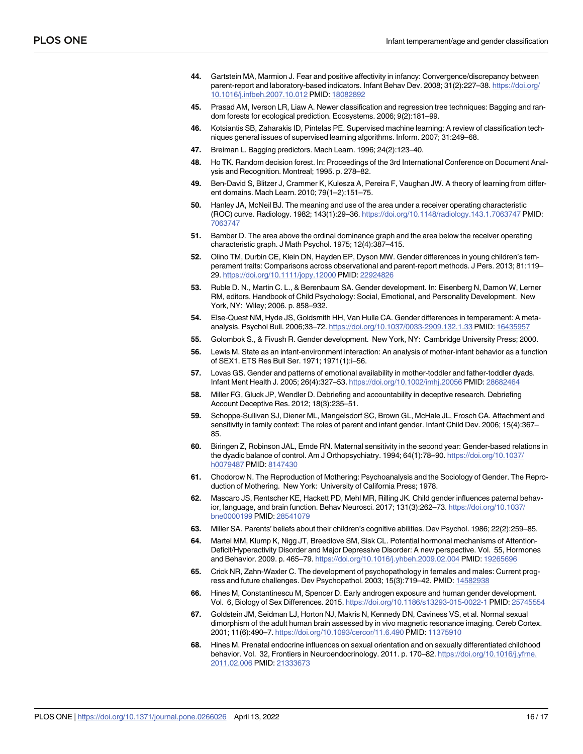- <span id="page-15-0"></span>**[44](#page-4-0).** Gartstein MA, Marmion J. Fear and positive affectivity in infancy: Convergence/discrepancy between parent-report and laboratory-based indicators. Infant Behav Dev. 2008; 31(2):227–38. [https://doi.org/](https://doi.org/10.1016/j.infbeh.2007.10.012) [10.1016/j.infbeh.2007.10.012](https://doi.org/10.1016/j.infbeh.2007.10.012) PMID: [18082892](http://www.ncbi.nlm.nih.gov/pubmed/18082892)
- **[45](#page-4-0).** Prasad AM, Iverson LR, Liaw A. Newer classification and regression tree techniques: Bagging and random forests for ecological prediction. Ecosystems. 2006; 9(2):181–99.
- **[46](#page-4-0).** Kotsiantis SB, Zaharakis ID, Pintelas PE. Supervised machine learning: A review of classification techniques general issues of supervised learning algorithms. Inform. 2007; 31:249–68.
- **[47](#page-4-0).** Breiman L. Bagging predictors. Mach Learn. 1996; 24(2):123–40.
- **[48](#page-4-0).** Ho TK. Random decision forest. In: Proceedings of the 3rd International Conference on Document Analysis and Recognition. Montreal; 1995. p. 278–82.
- **[49](#page-6-0).** Ben-David S, Blitzer J, Crammer K, Kulesza A, Pereira F, Vaughan JW. A theory of learning from different domains. Mach Learn. 2010; 79(1–2):151–75.
- **[50](#page-6-0).** Hanley JA, McNeil BJ. The meaning and use of the area under a receiver operating characteristic (ROC) curve. Radiology. 1982; 143(1):29–36. <https://doi.org/10.1148/radiology.143.1.7063747> PMID: [7063747](http://www.ncbi.nlm.nih.gov/pubmed/7063747)
- **[51](#page-7-0).** Bamber D. The area above the ordinal dominance graph and the area below the receiver operating characteristic graph. J Math Psychol. 1975; 12(4):387–415.
- **[52](#page-9-0).** Olino TM, Durbin CE, Klein DN, Hayden EP, Dyson MW. Gender differences in young children's temperament traits: Comparisons across observational and parent-report methods. J Pers. 2013; 81:119– 29. <https://doi.org/10.1111/jopy.12000> PMID: [22924826](http://www.ncbi.nlm.nih.gov/pubmed/22924826)
- **[53](#page-9-0).** Ruble D. N., Martin C. L., & Berenbaum SA. Gender development. In: Eisenberg N, Damon W, Lerner RM, editors. Handbook of Child Psychology: Social, Emotional, and Personality Development. New York, NY: Wiley; 2006. p. 858–932.
- **[54](#page-9-0).** Else-Quest NM, Hyde JS, Goldsmith HH, Van Hulle CA. Gender differences in temperament: A metaanalysis. Psychol Bull. 2006;33–72. <https://doi.org/10.1037/0033-2909.132.1.33> PMID: [16435957](http://www.ncbi.nlm.nih.gov/pubmed/16435957)
- **[55](#page-9-0).** Golombok S., & Fivush R. Gender development. New York, NY: Cambridge University Press; 2000.
- **56.** Lewis M. State as an infant-environment interaction: An analysis of mother-infant behavior as a function of SEX1. ETS Res Bull Ser. 1971; 1971(1):i–56.
- **57.** Lovas GS. Gender and patterns of emotional availability in mother-toddler and father-toddler dyads. Infant Ment Health J. 2005; 26(4):327–53. <https://doi.org/10.1002/imhj.20056> PMID: [28682464](http://www.ncbi.nlm.nih.gov/pubmed/28682464)
- **58.** Miller FG, Gluck JP, Wendler D. Debriefing and accountability in deceptive research. Debriefing Account Deceptive Res. 2012; 18(3):235–51.
- **[59](#page-9-0).** Schoppe-Sullivan SJ, Diener ML, Mangelsdorf SC, Brown GL, McHale JL, Frosch CA. Attachment and sensitivity in family context: The roles of parent and infant gender. Infant Child Dev. 2006; 15(4):367– 85.
- **[60](#page-9-0).** Biringen Z, Robinson JAL, Emde RN. Maternal sensitivity in the second year: Gender-based relations in the dyadic balance of control. Am J Orthopsychiatry. 1994; 64(1):78–90. [https://doi.org/10.1037/](https://doi.org/10.1037/h0079487) [h0079487](https://doi.org/10.1037/h0079487) PMID: [8147430](http://www.ncbi.nlm.nih.gov/pubmed/8147430)
- **[61](#page-10-0).** Chodorow N. The Reproduction of Mothering: Psychoanalysis and the Sociology of Gender. The Reproduction of Mothering. New York: University of California Press; 1978.
- **62.** Mascaro JS, Rentscher KE, Hackett PD, Mehl MR, Rilling JK. Child gender influences paternal behavior, language, and brain function. Behav Neurosci. 2017; 131(3):262–73. [https://doi.org/10.1037/](https://doi.org/10.1037/bne0000199) [bne0000199](https://doi.org/10.1037/bne0000199) PMID: [28541079](http://www.ncbi.nlm.nih.gov/pubmed/28541079)
- **[63](#page-10-0).** Miller SA. Parents' beliefs about their children's cognitive abilities. Dev Psychol. 1986; 22(2):259–85.
- **[64](#page-10-0).** Martel MM, Klump K, Nigg JT, Breedlove SM, Sisk CL. Potential hormonal mechanisms of Attention-Deficit/Hyperactivity Disorder and Major Depressive Disorder: A new perspective. Vol. 55, Hormones and Behavior. 2009. p. 465–79. <https://doi.org/10.1016/j.yhbeh.2009.02.004> PMID: [19265696](http://www.ncbi.nlm.nih.gov/pubmed/19265696)
- **[65](#page-10-0).** Crick NR, Zahn-Waxler C. The development of psychopathology in females and males: Current progress and future challenges. Dev Psychopathol. 2003; 15(3):719–42. PMID: [14582938](http://www.ncbi.nlm.nih.gov/pubmed/14582938)
- **[66](#page-10-0).** Hines M, Constantinescu M, Spencer D. Early androgen exposure and human gender development. Vol. 6, Biology of Sex Differences. 2015. <https://doi.org/10.1186/s13293-015-0022-1> PMID: [25745554](http://www.ncbi.nlm.nih.gov/pubmed/25745554)
- **[67](#page-10-0).** Goldstein JM, Seidman LJ, Horton NJ, Makris N, Kennedy DN, Caviness VS, et al. Normal sexual dimorphism of the adult human brain assessed by in vivo magnetic resonance imaging. Cereb Cortex. 2001; 11(6):490–7. <https://doi.org/10.1093/cercor/11.6.490> PMID: [11375910](http://www.ncbi.nlm.nih.gov/pubmed/11375910)
- **[68](#page-10-0).** Hines M. Prenatal endocrine influences on sexual orientation and on sexually differentiated childhood behavior. Vol. 32, Frontiers in Neuroendocrinology. 2011. p. 170–82. [https://doi.org/10.1016/j.yfrne.](https://doi.org/10.1016/j.yfrne.2011.02.006) [2011.02.006](https://doi.org/10.1016/j.yfrne.2011.02.006) PMID: [21333673](http://www.ncbi.nlm.nih.gov/pubmed/21333673)